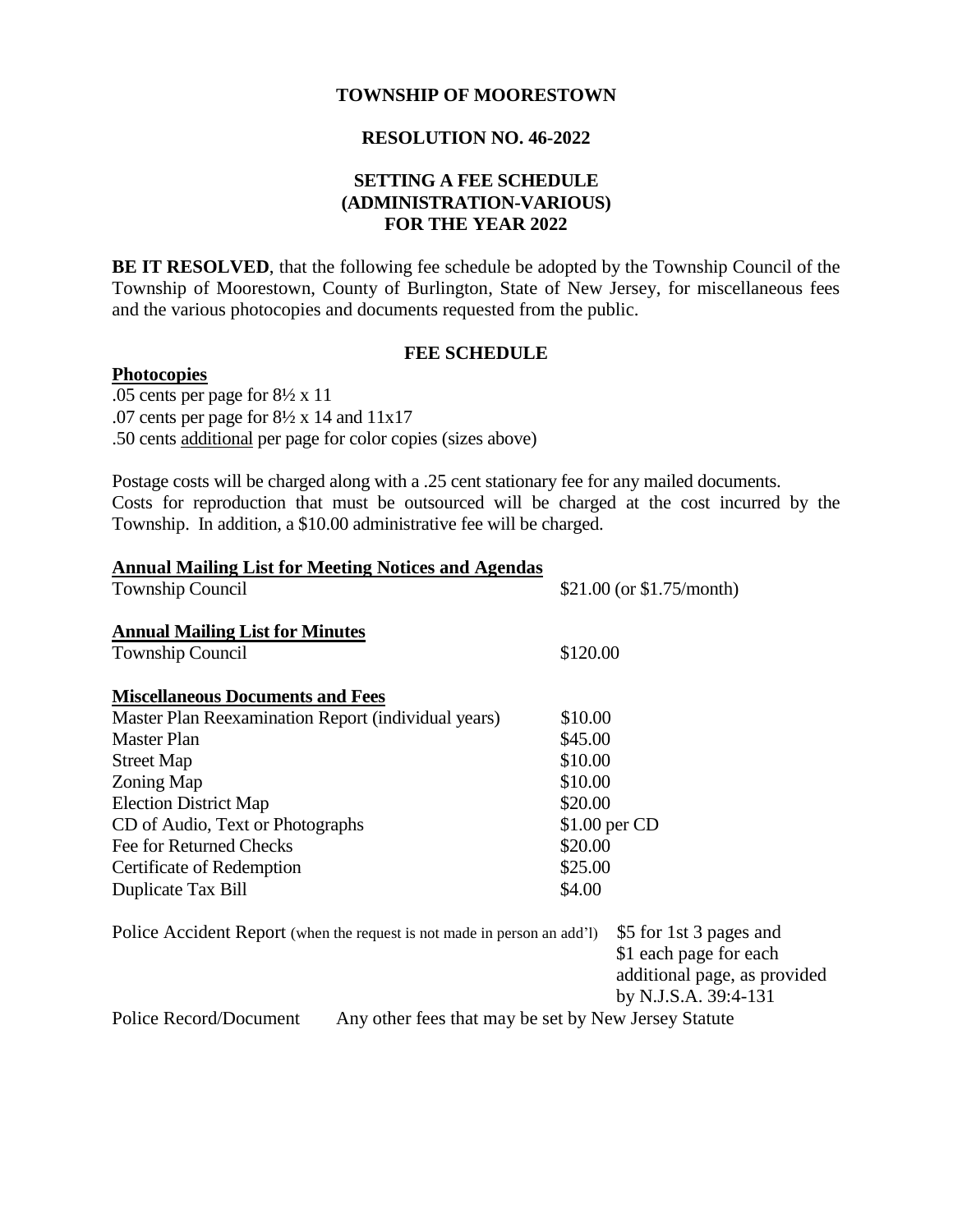### **TOWNSHIP OF MOORESTOWN**

# **RESOLUTION NO. 46-2022**

## **SETTING A FEE SCHEDULE (ADMINISTRATION-VARIOUS) FOR THE YEAR 2022**

**BE IT RESOLVED**, that the following fee schedule be adopted by the Township Council of the Township of Moorestown, County of Burlington, State of New Jersey, for miscellaneous fees and the various photocopies and documents requested from the public.

### **FEE SCHEDULE**

#### **Photocopies**

.05 cents per page for 8½ x 11 .07 cents per page for  $8\frac{1}{2}$  x 14 and 11x17 .50 cents additional per page for color copies (sizes above)

Postage costs will be charged along with a .25 cent stationary fee for any mailed documents. Costs for reproduction that must be outsourced will be charged at the cost incurred by the Township. In addition, a \$10.00 administrative fee will be charged.

| <b>Annual Mailing List for Meeting Notices and Agendas</b>                     |               |                                                                                                           |
|--------------------------------------------------------------------------------|---------------|-----------------------------------------------------------------------------------------------------------|
| <b>Township Council</b>                                                        |               | \$21.00 (or $$1.75/month$ )                                                                               |
| <b>Annual Mailing List for Minutes</b>                                         |               |                                                                                                           |
| <b>Township Council</b>                                                        | \$120.00      |                                                                                                           |
| <b>Miscellaneous Documents and Fees</b>                                        |               |                                                                                                           |
| Master Plan Reexamination Report (individual years)                            | \$10.00       |                                                                                                           |
| <b>Master Plan</b>                                                             | \$45.00       |                                                                                                           |
| <b>Street Map</b>                                                              | \$10.00       |                                                                                                           |
| Zoning Map                                                                     | \$10.00       |                                                                                                           |
| <b>Election District Map</b>                                                   | \$20.00       |                                                                                                           |
| CD of Audio, Text or Photographs                                               | \$1.00 per CD |                                                                                                           |
| Fee for Returned Checks                                                        | \$20.00       |                                                                                                           |
| Certificate of Redemption                                                      | \$25.00       |                                                                                                           |
| Duplicate Tax Bill                                                             | \$4.00        |                                                                                                           |
| Police Accident Report (when the request is not made in person an add'l)       |               | \$5 for 1st 3 pages and<br>\$1 each page for each<br>additional page, as provided<br>by N.J.S.A. 39:4-131 |
| Police Record/Document<br>Any other fees that may be set by New Jersey Statute |               |                                                                                                           |